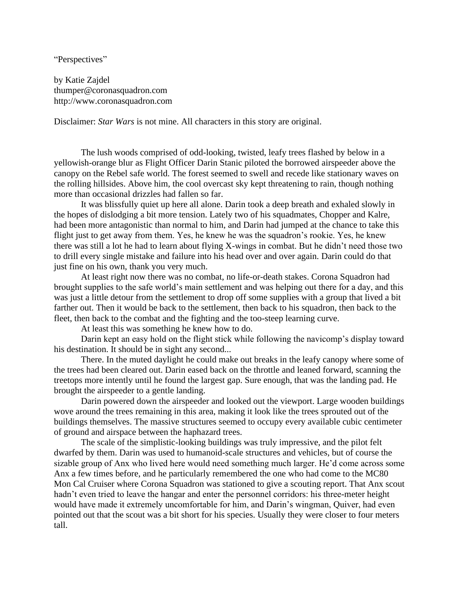"Perspectives"

by Katie Zajdel thumper@coronasquadron.com http://www.coronasquadron.com

Disclaimer: *Star Wars* is not mine. All characters in this story are original.

The lush woods comprised of odd-looking, twisted, leafy trees flashed by below in a yellowish-orange blur as Flight Officer Darin Stanic piloted the borrowed airspeeder above the canopy on the Rebel safe world. The forest seemed to swell and recede like stationary waves on the rolling hillsides. Above him, the cool overcast sky kept threatening to rain, though nothing more than occasional drizzles had fallen so far.

It was blissfully quiet up here all alone. Darin took a deep breath and exhaled slowly in the hopes of dislodging a bit more tension. Lately two of his squadmates, Chopper and Kalre, had been more antagonistic than normal to him, and Darin had jumped at the chance to take this flight just to get away from them. Yes, he knew he was the squadron's rookie. Yes, he knew there was still a lot he had to learn about flying X-wings in combat. But he didn't need those two to drill every single mistake and failure into his head over and over again. Darin could do that just fine on his own, thank you very much.

At least right now there was no combat, no life-or-death stakes. Corona Squadron had brought supplies to the safe world's main settlement and was helping out there for a day, and this was just a little detour from the settlement to drop off some supplies with a group that lived a bit farther out. Then it would be back to the settlement, then back to his squadron, then back to the fleet, then back to the combat and the fighting and the too-steep learning curve.

At least this was something he knew how to do.

Darin kept an easy hold on the flight stick while following the navicomp's display toward his destination. It should be in sight any second...

There. In the muted daylight he could make out breaks in the leafy canopy where some of the trees had been cleared out. Darin eased back on the throttle and leaned forward, scanning the treetops more intently until he found the largest gap. Sure enough, that was the landing pad. He brought the airspeeder to a gentle landing.

Darin powered down the airspeeder and looked out the viewport. Large wooden buildings wove around the trees remaining in this area, making it look like the trees sprouted out of the buildings themselves. The massive structures seemed to occupy every available cubic centimeter of ground and airspace between the haphazard trees.

The scale of the simplistic-looking buildings was truly impressive, and the pilot felt dwarfed by them. Darin was used to humanoid-scale structures and vehicles, but of course the sizable group of Anx who lived here would need something much larger. He'd come across some Anx a few times before, and he particularly remembered the one who had come to the MC80 Mon Cal Cruiser where Corona Squadron was stationed to give a scouting report. That Anx scout hadn't even tried to leave the hangar and enter the personnel corridors: his three-meter height would have made it extremely uncomfortable for him, and Darin's wingman, Quiver, had even pointed out that the scout was a bit short for his species. Usually they were closer to four meters tall.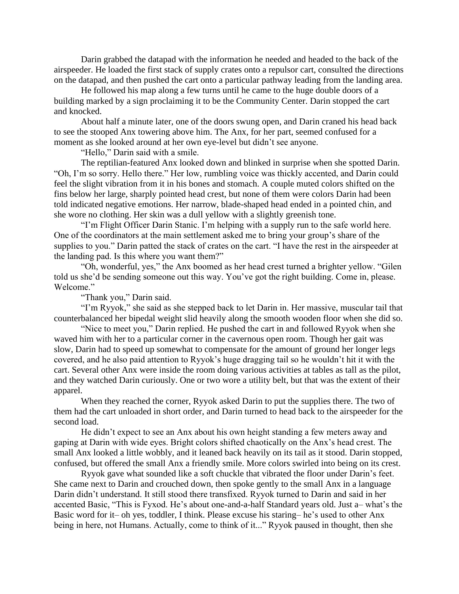Darin grabbed the datapad with the information he needed and headed to the back of the airspeeder. He loaded the first stack of supply crates onto a repulsor cart, consulted the directions on the datapad, and then pushed the cart onto a particular pathway leading from the landing area.

He followed his map along a few turns until he came to the huge double doors of a building marked by a sign proclaiming it to be the Community Center. Darin stopped the cart and knocked.

About half a minute later, one of the doors swung open, and Darin craned his head back to see the stooped Anx towering above him. The Anx, for her part, seemed confused for a moment as she looked around at her own eye-level but didn't see anyone.

"Hello," Darin said with a smile.

The reptilian-featured Anx looked down and blinked in surprise when she spotted Darin. "Oh, I'm so sorry. Hello there." Her low, rumbling voice was thickly accented, and Darin could feel the slight vibration from it in his bones and stomach. A couple muted colors shifted on the fins below her large, sharply pointed head crest, but none of them were colors Darin had been told indicated negative emotions. Her narrow, blade-shaped head ended in a pointed chin, and she wore no clothing. Her skin was a dull yellow with a slightly greenish tone.

"I'm Flight Officer Darin Stanic. I'm helping with a supply run to the safe world here. One of the coordinators at the main settlement asked me to bring your group's share of the supplies to you." Darin patted the stack of crates on the cart. "I have the rest in the airspeeder at the landing pad. Is this where you want them?"

"Oh, wonderful, yes," the Anx boomed as her head crest turned a brighter yellow. "Gilen told us she'd be sending someone out this way. You've got the right building. Come in, please. Welcome."

"Thank you," Darin said.

"I'm Ryyok," she said as she stepped back to let Darin in. Her massive, muscular tail that counterbalanced her bipedal weight slid heavily along the smooth wooden floor when she did so.

"Nice to meet you," Darin replied. He pushed the cart in and followed Ryyok when she waved him with her to a particular corner in the cavernous open room. Though her gait was slow, Darin had to speed up somewhat to compensate for the amount of ground her longer legs covered, and he also paid attention to Ryyok's huge dragging tail so he wouldn't hit it with the cart. Several other Anx were inside the room doing various activities at tables as tall as the pilot, and they watched Darin curiously. One or two wore a utility belt, but that was the extent of their apparel.

When they reached the corner, Ryyok asked Darin to put the supplies there. The two of them had the cart unloaded in short order, and Darin turned to head back to the airspeeder for the second load.

He didn't expect to see an Anx about his own height standing a few meters away and gaping at Darin with wide eyes. Bright colors shifted chaotically on the Anx's head crest. The small Anx looked a little wobbly, and it leaned back heavily on its tail as it stood. Darin stopped, confused, but offered the small Anx a friendly smile. More colors swirled into being on its crest.

Ryyok gave what sounded like a soft chuckle that vibrated the floor under Darin's feet. She came next to Darin and crouched down, then spoke gently to the small Anx in a language Darin didn't understand. It still stood there transfixed. Ryyok turned to Darin and said in her accented Basic, "This is Fyxod. He's about one-and-a-half Standard years old. Just a– what's the Basic word for it– oh yes, toddler, I think. Please excuse his staring– he's used to other Anx being in here, not Humans. Actually, come to think of it..." Ryyok paused in thought, then she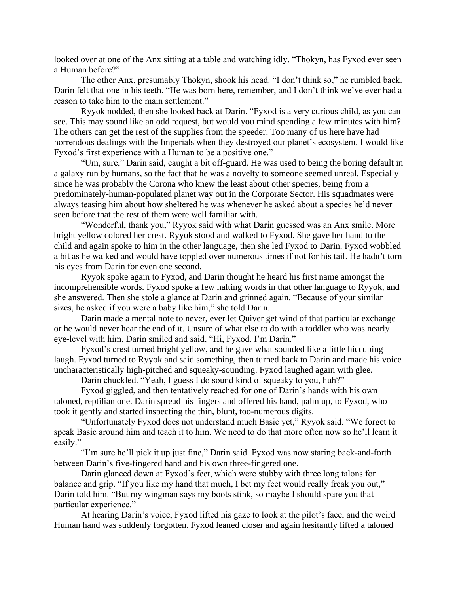looked over at one of the Anx sitting at a table and watching idly. "Thokyn, has Fyxod ever seen a Human before?"

The other Anx, presumably Thokyn, shook his head. "I don't think so," he rumbled back. Darin felt that one in his teeth. "He was born here, remember, and I don't think we've ever had a reason to take him to the main settlement."

Ryyok nodded, then she looked back at Darin. "Fyxod is a very curious child, as you can see. This may sound like an odd request, but would you mind spending a few minutes with him? The others can get the rest of the supplies from the speeder. Too many of us here have had horrendous dealings with the Imperials when they destroyed our planet's ecosystem. I would like Fyxod's first experience with a Human to be a positive one."

"Um, sure," Darin said, caught a bit off-guard. He was used to being the boring default in a galaxy run by humans, so the fact that he was a novelty to someone seemed unreal. Especially since he was probably the Corona who knew the least about other species, being from a predominately-human-populated planet way out in the Corporate Sector. His squadmates were always teasing him about how sheltered he was whenever he asked about a species he'd never seen before that the rest of them were well familiar with.

"Wonderful, thank you," Ryyok said with what Darin guessed was an Anx smile. More bright yellow colored her crest. Ryyok stood and walked to Fyxod. She gave her hand to the child and again spoke to him in the other language, then she led Fyxod to Darin. Fyxod wobbled a bit as he walked and would have toppled over numerous times if not for his tail. He hadn't torn his eyes from Darin for even one second.

Ryyok spoke again to Fyxod, and Darin thought he heard his first name amongst the incomprehensible words. Fyxod spoke a few halting words in that other language to Ryyok, and she answered. Then she stole a glance at Darin and grinned again. "Because of your similar sizes, he asked if you were a baby like him," she told Darin.

Darin made a mental note to never, ever let Quiver get wind of that particular exchange or he would never hear the end of it. Unsure of what else to do with a toddler who was nearly eye-level with him, Darin smiled and said, "Hi, Fyxod. I'm Darin."

Fyxod's crest turned bright yellow, and he gave what sounded like a little hiccuping laugh. Fyxod turned to Ryyok and said something, then turned back to Darin and made his voice uncharacteristically high-pitched and squeaky-sounding. Fyxod laughed again with glee.

Darin chuckled. "Yeah, I guess I do sound kind of squeaky to you, huh?"

Fyxod giggled, and then tentatively reached for one of Darin's hands with his own taloned, reptilian one. Darin spread his fingers and offered his hand, palm up, to Fyxod, who took it gently and started inspecting the thin, blunt, too-numerous digits.

"Unfortunately Fyxod does not understand much Basic yet," Ryyok said. "We forget to speak Basic around him and teach it to him. We need to do that more often now so he'll learn it easily."

"I'm sure he'll pick it up just fine," Darin said. Fyxod was now staring back-and-forth between Darin's five-fingered hand and his own three-fingered one.

Darin glanced down at Fyxod's feet, which were stubby with three long talons for balance and grip. "If you like my hand that much, I bet my feet would really freak you out," Darin told him. "But my wingman says my boots stink, so maybe I should spare you that particular experience."

At hearing Darin's voice, Fyxod lifted his gaze to look at the pilot's face, and the weird Human hand was suddenly forgotten. Fyxod leaned closer and again hesitantly lifted a taloned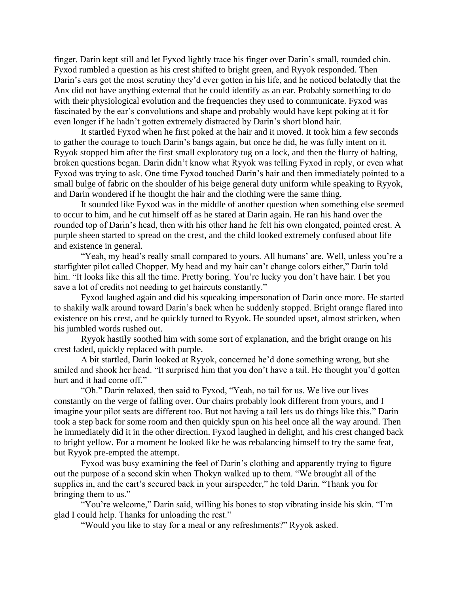finger. Darin kept still and let Fyxod lightly trace his finger over Darin's small, rounded chin. Fyxod rumbled a question as his crest shifted to bright green, and Ryyok responded. Then Darin's ears got the most scrutiny they'd ever gotten in his life, and he noticed belatedly that the Anx did not have anything external that he could identify as an ear. Probably something to do with their physiological evolution and the frequencies they used to communicate. Fyxod was fascinated by the ear's convolutions and shape and probably would have kept poking at it for even longer if he hadn't gotten extremely distracted by Darin's short blond hair.

It startled Fyxod when he first poked at the hair and it moved. It took him a few seconds to gather the courage to touch Darin's bangs again, but once he did, he was fully intent on it. Ryyok stopped him after the first small exploratory tug on a lock, and then the flurry of halting, broken questions began. Darin didn't know what Ryyok was telling Fyxod in reply, or even what Fyxod was trying to ask. One time Fyxod touched Darin's hair and then immediately pointed to a small bulge of fabric on the shoulder of his beige general duty uniform while speaking to Ryyok, and Darin wondered if he thought the hair and the clothing were the same thing.

It sounded like Fyxod was in the middle of another question when something else seemed to occur to him, and he cut himself off as he stared at Darin again. He ran his hand over the rounded top of Darin's head, then with his other hand he felt his own elongated, pointed crest. A purple sheen started to spread on the crest, and the child looked extremely confused about life and existence in general.

"Yeah, my head's really small compared to yours. All humans' are. Well, unless you're a starfighter pilot called Chopper. My head and my hair can't change colors either," Darin told him. "It looks like this all the time. Pretty boring. You're lucky you don't have hair. I bet you save a lot of credits not needing to get haircuts constantly."

Fyxod laughed again and did his squeaking impersonation of Darin once more. He started to shakily walk around toward Darin's back when he suddenly stopped. Bright orange flared into existence on his crest, and he quickly turned to Ryyok. He sounded upset, almost stricken, when his jumbled words rushed out.

Ryyok hastily soothed him with some sort of explanation, and the bright orange on his crest faded, quickly replaced with purple.

A bit startled, Darin looked at Ryyok, concerned he'd done something wrong, but she smiled and shook her head. "It surprised him that you don't have a tail. He thought you'd gotten hurt and it had come off."

"Oh." Darin relaxed, then said to Fyxod, "Yeah, no tail for us. We live our lives constantly on the verge of falling over. Our chairs probably look different from yours, and I imagine your pilot seats are different too. But not having a tail lets us do things like this." Darin took a step back for some room and then quickly spun on his heel once all the way around. Then he immediately did it in the other direction. Fyxod laughed in delight, and his crest changed back to bright yellow. For a moment he looked like he was rebalancing himself to try the same feat, but Ryyok pre-empted the attempt.

Fyxod was busy examining the feel of Darin's clothing and apparently trying to figure out the purpose of a second skin when Thokyn walked up to them. "We brought all of the supplies in, and the cart's secured back in your airspeeder," he told Darin. "Thank you for bringing them to us."

"You're welcome," Darin said, willing his bones to stop vibrating inside his skin. "I'm glad I could help. Thanks for unloading the rest."

"Would you like to stay for a meal or any refreshments?" Ryyok asked.